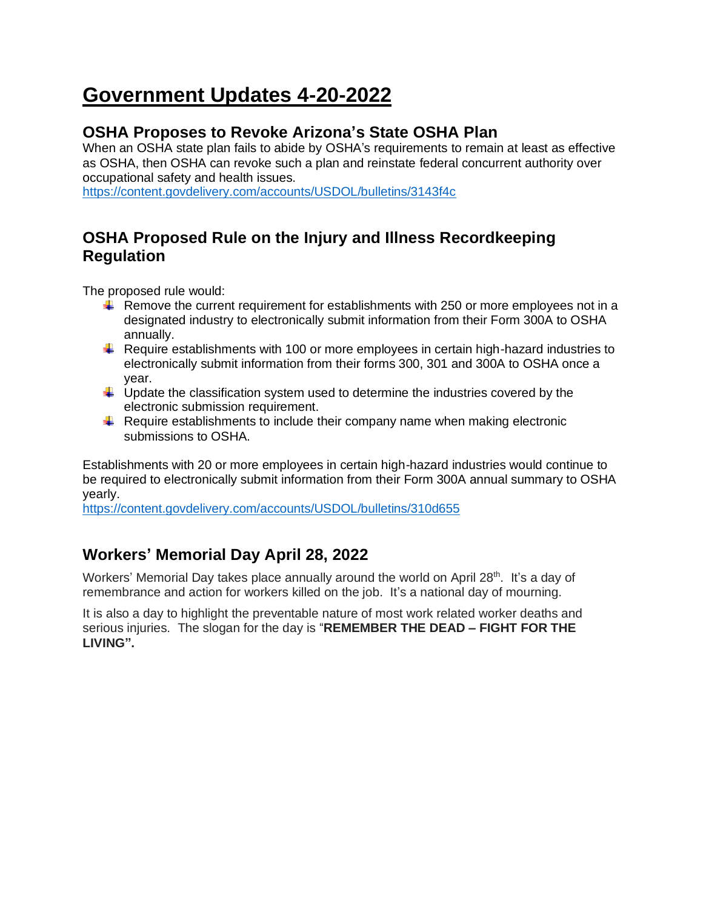# **Government Updates 4-20-2022**

## **OSHA Proposes to Revoke Arizona's State OSHA Plan**

When an OSHA state plan fails to abide by OSHA's requirements to remain at least as effective as OSHA, then OSHA can revoke such a plan and reinstate federal concurrent authority over occupational safety and health issues.

<https://content.govdelivery.com/accounts/USDOL/bulletins/3143f4c>

# **OSHA Proposed Rule on the Injury and Illness Recordkeeping Regulation**

The proposed rule would:

- $\ddot{\phantom{1}}$  Remove the current requirement for establishments with 250 or more employees not in a designated industry to electronically submit information from their Form 300A to OSHA annually.
- Require establishments with 100 or more employees in certain high-hazard industries to electronically submit information from their forms 300, 301 and 300A to OSHA once a year.
- $\ddot{\phantom{1}}$  Update the classification system used to determine the industries covered by the electronic submission requirement.
- $\ddot{\bullet}$  Require establishments to include their company name when making electronic submissions to OSHA.

Establishments with 20 or more employees in certain high-hazard industries would continue to be required to electronically submit information from their Form 300A annual summary to OSHA yearly.

<https://content.govdelivery.com/accounts/USDOL/bulletins/310d655>

# **Workers' Memorial Day April 28, 2022**

Workers' Memorial Day takes place annually around the world on April 28<sup>th</sup>. It's a day of remembrance and action for workers killed on the job. It's a national day of mourning.

It is also a day to highlight the preventable nature of most work related worker deaths and serious injuries. The slogan for the day is "**REMEMBER THE DEAD – FIGHT FOR THE LIVING".**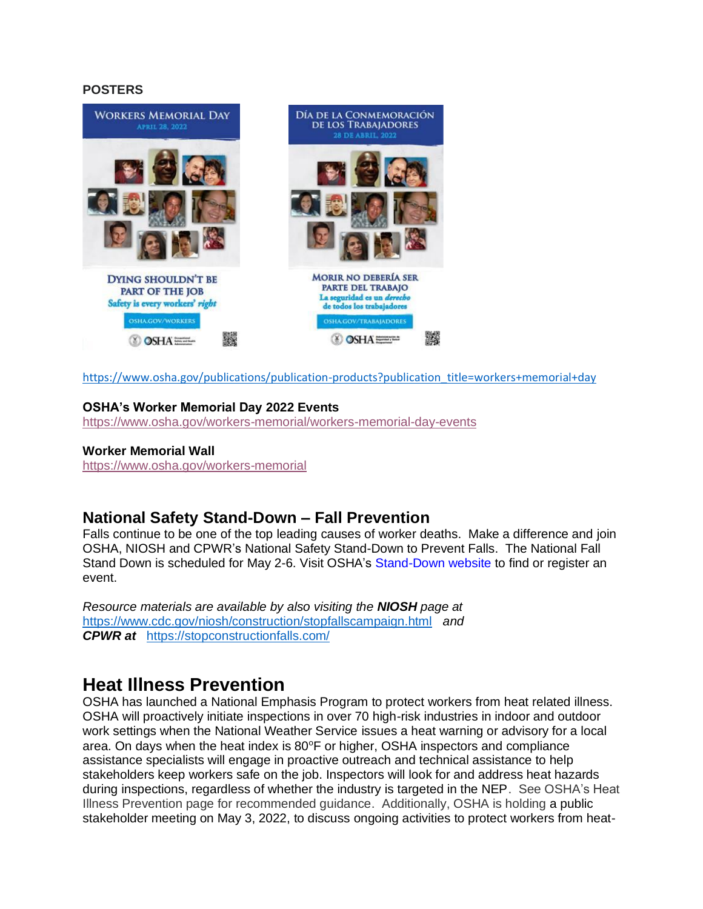#### **POSTERS**



[https://www.osha.gov/publications/publication-products?publication\\_title=workers+memorial+day](https://www.osha.gov/publications/publication-products?publication_title=workers+memorial+day)

#### **OSHA's Worker Memorial Day 2022 Events**

<https://www.osha.gov/workers-memorial/workers-memorial-day-events>

#### **Worker Memorial Wall**

<https://www.osha.gov/workers-memorial>

### **National Safety Stand-Down – Fall Prevention**

Falls continue to be one of the top leading causes of worker deaths. Make a difference and join OSHA, NIOSH and CPWR's National Safety Stand-Down to Prevent Falls. The National Fall Stand Down is scheduled for May 2-6. Visit OSHA's [Stand-Down website](https://lnks.gd/l/eyJhbGciOiJIUzI1NiJ9.eyJidWxsZXRpbl9saW5rX2lkIjoxMTAsInVyaSI6ImJwMjpjbGljayIsImJ1bGxldGluX2lkIjoiMjAyMjA0MTguNTY1OTY0MDEiLCJ1cmwiOiJodHRwczovL3d3dy5vc2hhLmdvdi9zdG9wLWZhbGxzLXN0YW5kLWRvd24ifQ.u-Loh6F_G1pES88ARYDN1YW1a22W7BDMX_PPmwly5HE/s/941570801/br/129974295953-l) to find or register an event.

*Resource materials are available by also visiting the NIOSH page at* <https://www.cdc.gov/niosh/construction/stopfallscampaign.html>*and CPWR at* <https://stopconstructionfalls.com/>

# **Heat Illness Prevention**

OSHA has launched a National Emphasis Program to protect workers from heat related illness. OSHA will proactively initiate inspections in over 70 high-risk industries in indoor and outdoor work settings when the National Weather Service issues a heat warning or advisory for a local area. On days when the heat index is  $80^{\circ}$ F or higher, OSHA inspectors and compliance assistance specialists will engage in proactive outreach and technical assistance to help stakeholders keep workers safe on the job. Inspectors will look for and address heat hazards during inspections, regardless of whether the industry is targeted in the NEP. See OSHA's Heat Illness Prevention page for recommended guidance. Additionally, OSHA is holding a public stakeholder meeting on May 3, 2022, to discuss ongoing activities to protect workers from heat